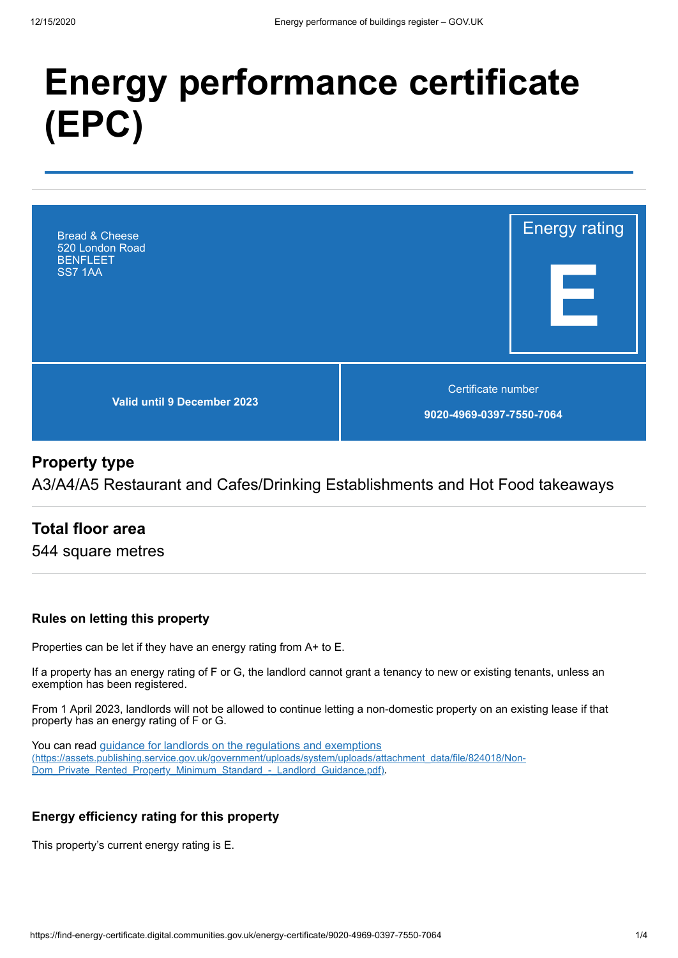# **Energy performance certificate (EPC)**



#### **Property type**

A3/A4/A5 Restaurant and Cafes/Drinking Establishments and Hot Food takeaways

#### **Total floor area**

544 square metres

#### **Rules on letting this property**

Properties can be let if they have an energy rating from A+ to E.

If a property has an energy rating of F or G, the landlord cannot grant a tenancy to new or existing tenants, unless an exemption has been registered.

From 1 April 2023, landlords will not be allowed to continue letting a non-domestic property on an existing lease if that property has an energy rating of F or G.

You can read guidance for landlords on the regulations and exemptions [\(https://assets.publishing.service.gov.uk/government/uploads/system/uploads/attachment\\_data/file/824018/Non-](https://assets.publishing.service.gov.uk/government/uploads/system/uploads/attachment_data/file/824018/Non-Dom_Private_Rented_Property_Minimum_Standard_-_Landlord_Guidance.pdf)Dom\_Private\_Rented\_Property\_Minimum\_Standard\_-\_Landlord\_Guidance.pdf).

#### **Energy efficiency rating for this property**

This property's current energy rating is E.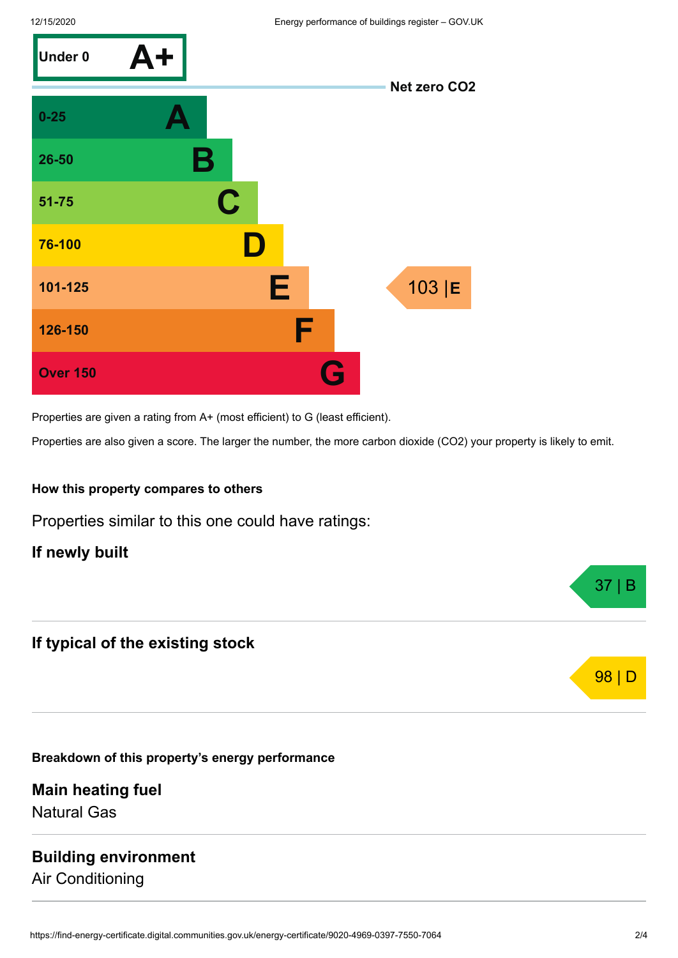

Properties are given a rating from A+ (most efficient) to G (least efficient).

Properties are also given a score. The larger the number, the more carbon dioxide (CO2) your property is likely to emit.

#### **How this property compares to others**

Properties similar to this one could have ratings:

**If newly built**

#### **If typical of the existing stock**

**Breakdown of this property's energy performance**

**Main heating fuel** Natural Gas

#### **Building environment** Air Conditioning



37 | B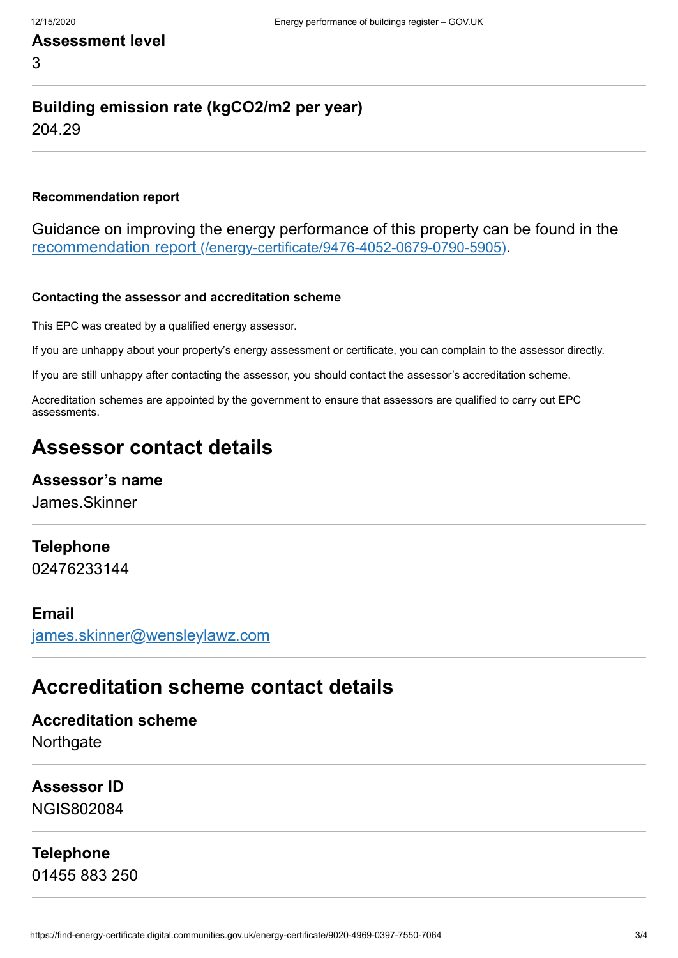3

## **Building emission rate (kgCO2/m2 per year)**

204.29

#### **Recommendation report**

Guidance on improving the energy performance of this property can be found in the recommendation report [\(/energy-certificate/9476-4052-0679-0790-5905\)](https://find-energy-certificate.digital.communities.gov.uk/energy-certificate/9476-4052-0679-0790-5905).

#### **Contacting the assessor and accreditation scheme**

This EPC was created by a qualified energy assessor.

If you are unhappy about your property's energy assessment or certificate, you can complain to the assessor directly.

If you are still unhappy after contacting the assessor, you should contact the assessor's accreditation scheme.

Accreditation schemes are appointed by the government to ensure that assessors are qualified to carry out EPC assessments.

## **Assessor contact details**

#### **Assessor's name**

James.Skinner

#### **Telephone**

02476233144

#### **Email**

[james.skinner@wensleylawz.com](mailto:james.skinner@wensleylawz.com)

### **Accreditation scheme contact details**

**Accreditation scheme Northgate** 

**Assessor ID** NGIS802084

**Telephone** 01455 883 250